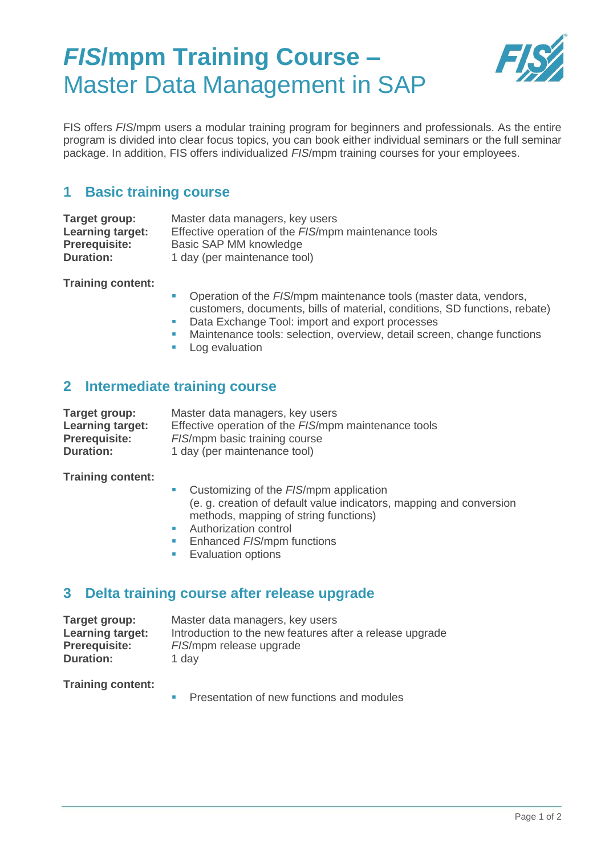# *FIS***/mpm Training Course –** Master Data Management in SAP



FIS offers *FIS*/mpm users a modular training program for beginners and professionals. As the entire program is divided into clear focus topics, you can book either individual seminars or the full seminar package. In addition, FIS offers individualized *FIS*/mpm training courses for your employees.

### **1 Basic training course**

| Target group:           | Master data managers, key users                      |
|-------------------------|------------------------------------------------------|
| <b>Learning target:</b> | Effective operation of the FIS/mpm maintenance tools |
| <b>Prerequisite:</b>    | Basic SAP MM knowledge                               |
| <b>Duration:</b>        | 1 day (per maintenance tool)                         |

**Training content:**

- Operation of the *FIS*/mpm maintenance tools (master data, vendors, customers, documents, bills of material, conditions, SD functions, rebate)
- Data Exchange Tool: import and export processes
- Maintenance tools: selection, overview, detail screen, change functions
- **Log evaluation**

### **2 Intermediate training course**

| Target group:           | Master data managers, key users                      |
|-------------------------|------------------------------------------------------|
| <b>Learning target:</b> | Effective operation of the FIS/mpm maintenance tools |
| <b>Prerequisite:</b>    | FIS/mpm basic training course                        |
| <b>Duration:</b>        | 1 day (per maintenance tool)                         |

**Training content:**

- **Customizing of the FIS/mpm application** (e. g. creation of default value indicators, mapping and conversion methods, mapping of string functions)
- **Authorization control**
- **Enhanced FIS/mpm functions**
- **Evaluation options**

#### **3 Delta training course after release upgrade**

| Target group:           | Master data managers, key users                          |
|-------------------------|----------------------------------------------------------|
| <b>Learning target:</b> | Introduction to the new features after a release upgrade |
| <b>Prerequisite:</b>    | FIS/mpm release upgrade                                  |
| Duration:               | 1 day                                                    |

**Training content:**

**Presentation of new functions and modules**